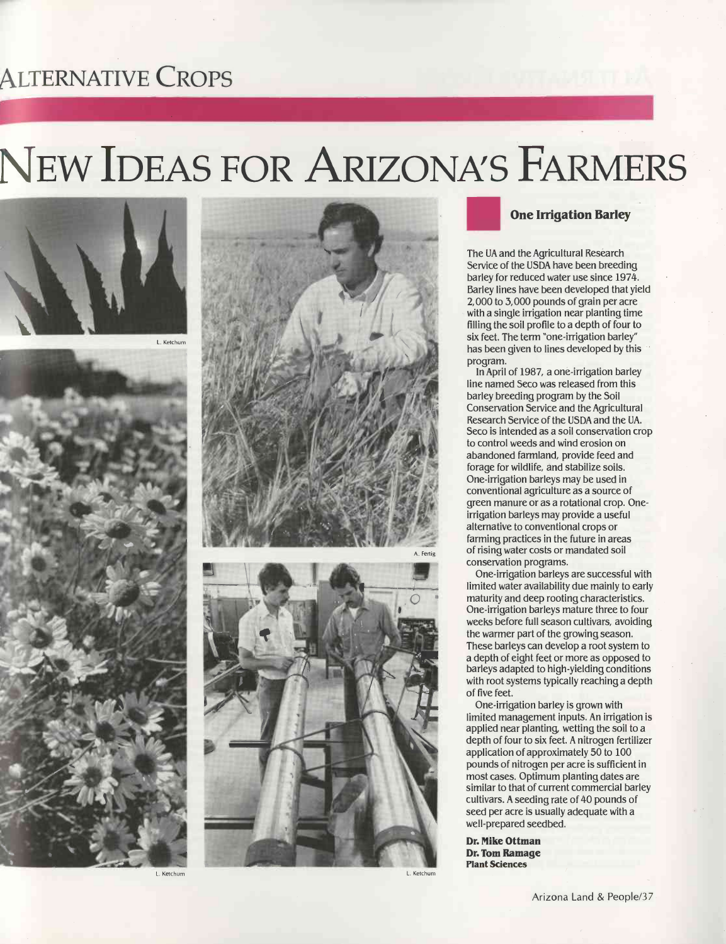## ALTERNATIVE CROPS

# NEW IDEAS FOR ARIZONA'S FARMERS



L. Ketchum

<u>List and the second</u>



L. Ketchum L. Ketchum







### One Irrigation Barley

The UA and the Agricultural Research Service of the USDA have been breeding barley for reduced water use since 1974. Barley lines have been developed that yield 2,000 to 3,000 pounds of grain per acre with a single irrigation near planting time filling the soil profile to a depth of four to six feet. The term "one-irrigation barley" has been given to lines developed by this program.

In April of 1987, a one -irrigation barley line named Seco was released from this barley breeding program by the Soil Conservation Service and the Agricultural Research Service of the USDA and the UA. Seco is intended as a soil conservation crop to control weeds and wind erosion on abandoned farmland, provide feed and forage for wildlife, and stabilize soils. One -irrigation barleys may be used in conventional agriculture as a source of green manure or as a rotational crop. Oneirrigation barleys may provide a useful alternative to conventional crops or farming practices in the future in areas of rising water costs or mandated soil conservation programs.

One -irrigation barleys are successful with limited water availability due mainly to early maturity and deep rooting characteristics. One -irrigation barleys mature three to four weeks before full season cultivars, avoiding the warmer part of the growing season. These barleys can develop a root system to a depth of eight feet or more as opposed to barleys adapted to high -yielding conditions with root systems typically reaching a depth of five feet.

One -irrigation barley is grown with limited management inputs. An irrigation is applied near planting, wetting the soil to a depth of four to six feet. A nitrogen fertilizer application of approximately 50 to 100 pounds of nitrogen per acre is sufficient in most cases. Optimum planting dates are similar to that of current commercial barley cultivars. A seeding rate of 40 pounds of seed per acre is usually adequate with a well-prepared seedbed.

Dr. Mike Ottman Dr. Tom Ramage Plant Sciences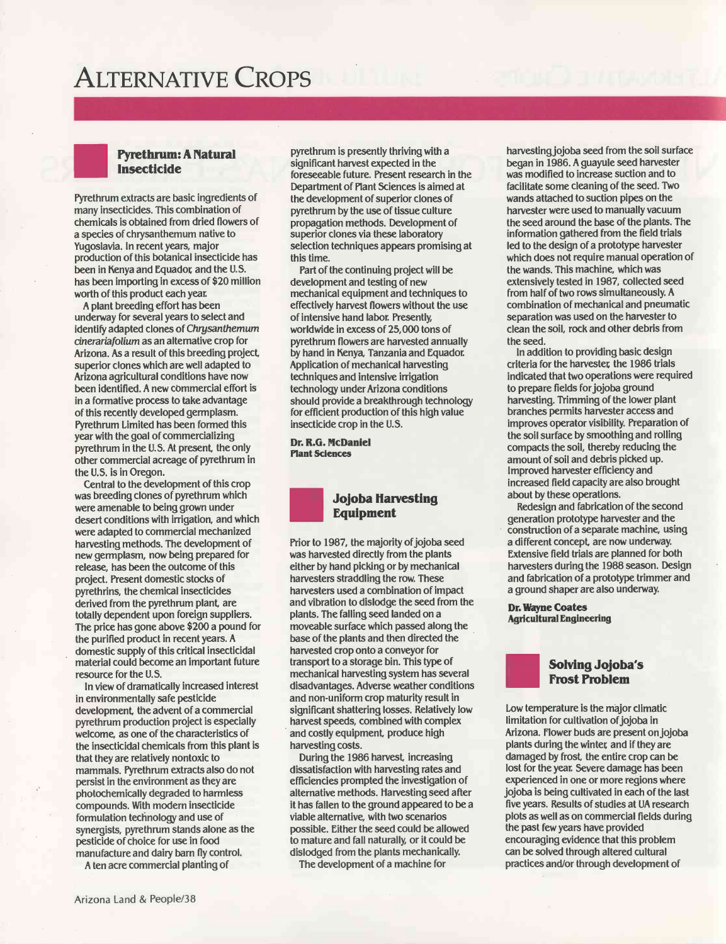### ALTERNATIVE CROPS

#### Pyrethrum: A Natural Insecticide

Pyrethrum extracts are basic ingredients of many insecticides. This combination of chemicals is obtained from dried flowers of a species of chrysanthemum native to Yugoslavia. In recent years, major production of this botanical insecticide has been in Kenya and Equador and the U.S. has been importing in excess of \$20 million worth of this product each year.

A plant breeding effort has been underway for several years to select and identify adapted clones of Chrysanthemum cinerariafolium as an alternative crop for Arizona. As a result of this breeding project, superior clones which are well adapted to Arizona agricultural conditions have now been identified. A new commercial effort is in a formative process to take advantage of this recently developed germplasm. Pyrethrum Limited has been formed this year with the goal of commercializing pyrethrum in the U.S. At present, the only other commercial acreage of pyrethrum in the U.S. is in Oregon.

Central to the development of this crop was breeding clones of pyrethrum which were amenable to being grown under desert conditions with irrigation, and which were adapted to commercial mechanized harvesting methods. The development of new germplasm, now being prepared for release, has been the outcome of this project. Present domestic stocks of pyrethrins, the chemical insecticides derived from the pyrethrum plant, are totally dependent upon foreign suppliers. The price has gone above \$200 a pound for the purified product in recent years. A domestic supply of this critical insecticidal material could become an important future resource for the U.S.

In view of dramatically increased interest in environmentally safe pesticide development, the advent of a commercial pyrethrum production project is especially welcome, as one of the characteristics of the insecticidal chemicals from this plant is that they are relatively nontoxic to mammals. Pyrethrum extracts also do not persist in the environment as they are photochemically degraded to harmless compounds. With modern insecticide formulation technology and use of synergists, pyrethrum stands alone as the pesticide of choice for use in food manufacture and dairy barn fly control.

A ten acre commercial planting of

pyrethrum is presently thriving with a significant harvest expected in the foreseeable future. Present research in the Department of Plant Sciences is aimed at the development of superior clones of pyrethrum by the use of tissue culture propagation methods. Development of superior clones via these laboratory selection techniques appears promising at this time.

Part of the continuing project will be development and testing of new mechanical equipment and techniques to effectively harvest flowers without the use of intensive hand labor. Presently, worldwide in excess of 25,000 tons of pyrethrum flowers are harvested annually by hand in Kenya, Tanzania and Equador. Application of mechanical harvesting techniques and intensive irrigation technology under Arizona conditions should provide a breakthrough technology for efficient production of this high value insecticide crop in the U.S.

Dr. R.G. McDaniel Plant Sciences



Prior to 1987, the majority of jojoba seed was harvested directly from the plants either by hand picking or by mechanical harvesters straddling the row. These harvesters used a combination of impact and vibration to dislodge the seed from the plants. The falling seed landed on a moveable surface which passed along the base of the plants and then directed the harvested crop onto a conveyor for transport to a storage bin. This type of mechanical harvesting system has several disadvantages. Adverse weather conditions and non-uniform crop maturity result in significant shattering losses. Relatively low harvest speeds, combined with complex and costly equipment, produce high harvesting costs.

During the 1986 harvest, increasing dissatisfaction with harvesting rates and efficiencies prompted the investigation of alternative methods. Harvesting seed after it has fallen to the ground appeared to be a viable alternative, with two scenarios possible. Either the seed could be allowed to mature and fall naturally, or it could be dislodged from the plants mechanically.

The development of a machine for

harvesting jojoba seed from the soil surface began in 1986. A guayule seed harvester was modified to increase suction and to facilitate some cleaning of the seed. Two wands attached to suction pipes on the harvester were used to manually vacuum the seed around the base of the plants. The information gathered from the field trials led to the design of a prototype harvester which does not require manual operation of the wands. This machine, which was extensively tested in 1987, collected seed from half of two rows simultaneously. A combination of mechanical and pneumatic separation was used on the harvester to clean the soil, rock and other debris from the seed.

In addition to providing basic design criteria for the harvester the 1986 trials indicated that two operations were required to prepare fields for jojoba ground harvesting. Trimming of the lower plant branches permits harvester access and improves operator visibility. Preparation of the soil surface by smoothing and rolling compacts the soil, thereby reducing the amount of soil and debris picked up. Improved harvester efficiency and increased field capacity are also brought about by these operations.

Redesign and fabrication of the second generation prototype harvester and the construction of a separate machine, using a different concept, are now underway. Extensive field trials are planned for both harvesters during the 1988 season. Design and fabrication of a prototype trimmer and a ground shaper are also underway.

Dr. Wayne Coates Agricultural Engineering

### Solving Jojoba's Frost Problem

Low temperature is the major climatic limitation for cultivation of jojoba in Arizona. Flower buds are present on jojoba plants during the winter and if they are damaged by frost, the entire crop can be lost for the year. Severe damage has been experienced in one or more regions where jojoba is being cultivated in each of the last five years. Results of studies at UA research plots as well as on commercial fields during the past few years have provided encouraging evidence that this problem can be solved through altered cultural practices and/or through development of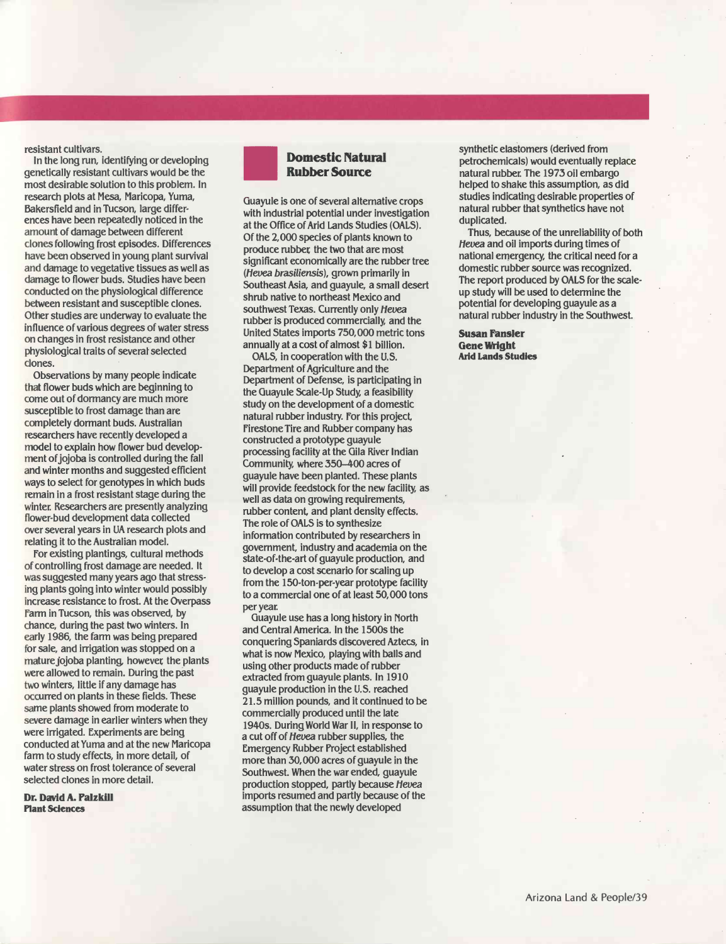resistant cultivars.

In the long run, identifying or developing genetically resistant cultivars would be the most desirable solution to this problem. In research plots at Mesa, Maricopa, Yuma, Bakersfield and in Tucson, large differences have been repeatedly noticed in the amount of damage between different clones following frost episodes. Differences have been observed in young plant survival and damage to vegetative tissues as well as damage to flower buds. Studies have been conducted on the physiological difference between resistant and susceptible clones. Other studies are underway to evaluate the influence of various degrees of water stress on changes in frost resistance and other physiological traits of several selected clones.

Observations by many people indicate that flower buds which are beginning to come out of dormancy are much more susceptible to frost damage than are completely dormant buds. Australian researchers have recently developed a model to explain how flower bud development of jojoba is controlled during the fall and winter months and suggested efficient ways to select for genotypes in which buds remain in a frost resistant stage during the winter. Researchers are presently analyzing flower -bud development data collected over several years in UA research plots and relating it to the Australian model.

For existing plantings, cultural methods of controlling frost damage are needed. It was suggested many years ago that stressing plants going into winter would possibly increase resistance to frost. At the Overpass Farm in Tucson, this was observed, by chance, during the past two winters. In early 1986, the farm was being prepared for sale, and irrigation was stopped on a mature jojoba planting, however the plants were allowed to remain. During the past two winters, little if any damage has occurred on plants in these fields. These same plants showed from moderate to severe damage in earlier winters when they were irrigated. Experiments are being conducted at Yuma and at the new Maricopa farm to study effects, in more detail, of water stress on frost tolerance of several selected clones in more detail.

Dr. David A. Palzkill Plant Sciences



Guayule is one of several alternative crops with industrial potential under investigation at the Office of Arid Lands Studies (OALS). Of the 2,000 species of plants known to produce rubber the two that are most significant economically are the rubber tree (Hevea brasiliensis), grown primarily in Southeast Asia, and guayule, a small desert shrub native to northeast Mexico and southwest Texas. Currently only Hevea rubber is produced commercially, and the United States imports 750,000 metric tons annually at a cost of almost \$1 billion.

OALS, in cooperation with the U.S. Department of Agriculture and the Department of Defense, is participating in the Guayule Scale -Up Study, a feasibility study on the development of a domestic natural rubber industry. For this project, Firestone Tire and Rubber company has constructed a prototype guayule processing facility at the Gila River Indian Community, where 350 -400 acres of guayule have been planted. These plants will provide feedstock for the new facility, as well as data on growing requirements, rubber content, and plant density effects. The role of OALS is to synthesize information contributed by researchers in government, industry and academia on the state-of-the-art of guayule production, and to develop a cost scenario for scaling up from the 150-ton-per-year prototype facility to a commercial one of at least 50, 000 tons per year.

Guayule use has a long history in North and Central America. In the 1500s the conquering Spaniards discovered Aztecs, in what is now Mexico, playing with balls and using other products made of rubber extracted from guayule plants. In 1910 guayule production in the U.S. reached 21.5 million pounds, and it continued to be commercially produced until the late 1940s. During World War II, in response to a cut off of Hevea rubber supplies, the Emergency Rubber Project established more than 30,000 acres of guayule in the Southwest. When the war ended, guayule production stopped, partly because Hevea imports resumed and partly because of the assumption that the newly developed

synthetic elastomers (derived from petrochemicals) would eventually replace natural rubber. The 1973 oil embargo helped to shake this assumption, as did studies indicating desirable properties of natural rubber that synthetics have not duplicated.

Thus, because of the unreliability of both Hevea and oil imports during times of national emergency, the critical need for a domestic rubber source was recognized. The report produced by OALS for the scaleup study will be used to determine the potential for developing guayule as a natural rubber industry in the Southwest.

Susan Fansler Gene Wright Arid Lands Studies